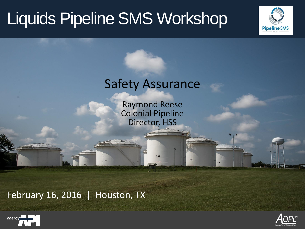# Liquids Pipeline SMS Workshop



### Safety Assurance

Raymond Reese Colonial Pipeline Director, HSS

534

535

February 16, 2016 | Houston, TX



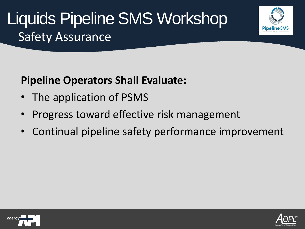#### **Pipeline Operators Shall Evaluate:**

- The application of PSMS
- Progress toward effective risk management
- Continual pipeline safety performance improvement



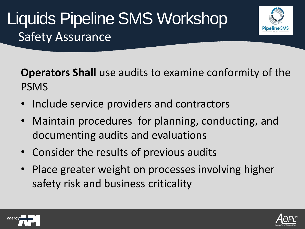

**Operators Shall** use audits to examine conformity of the PSMS

- Include service providers and contractors
- Maintain procedures for planning, conducting, and documenting audits and evaluations
- Consider the results of previous audits
- Place greater weight on processes involving higher safety risk and business criticality



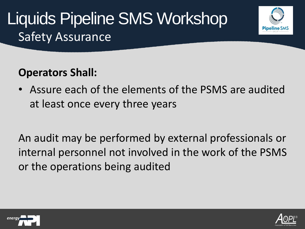



• Assure each of the elements of the PSMS are audited at least once every three years

An audit may be performed by external professionals or internal personnel not involved in the work of the PSMS or the operations being audited



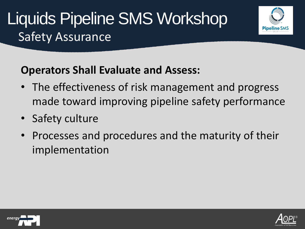

#### **Operators Shall Evaluate and Assess:**

- The effectiveness of risk management and progress made toward improving pipeline safety performance
- Safety culture
- Processes and procedures and the maturity of their implementation



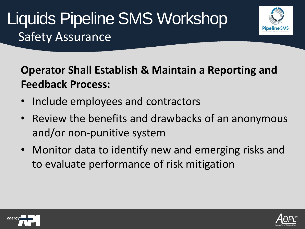

### **Operator Shall Establish & Maintain a Reporting and Feedback Process:**

- Include employees and contractors
- Review the benefits and drawbacks of an anonymous and/or non-punitive system
- Monitor data to identify new and emerging risks and to evaluate performance of risk mitigation



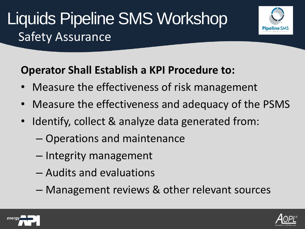

- Measure the effectiveness of risk management
- Measure the effectiveness and adequacy of the PSMS
- Identify, collect & analyze data generated from:
	- Operations and maintenance
	- Integrity management
	- Audits and evaluations
	- Management reviews & other relevant sources